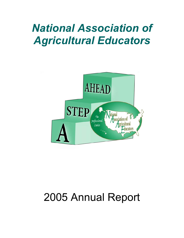# *National Association of Agricultural Educators*



# 2005 Annual Report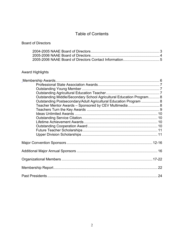# Table of Contents

# Board of Directors

# Award Highlights

| Outstanding Middle/Secondary School Agricultural Education Program 8 |
|----------------------------------------------------------------------|
| Outstanding Postsecondary/Adult Agricultural Education Program  8    |
|                                                                      |
|                                                                      |
|                                                                      |
|                                                                      |
|                                                                      |
|                                                                      |
|                                                                      |
|                                                                      |
|                                                                      |
|                                                                      |
|                                                                      |
|                                                                      |
| 24                                                                   |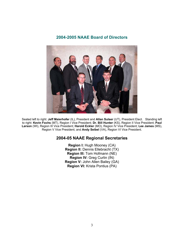# **2004-2005 NAAE Board of Directors**



Seated left to right: **Jeff Maierhofer** (IL), President and **Allan Sulser** (UT), President Elect. Standing left to right: **Kevin Fochs** (MT), Region I Vice President; **Dr. Bill Hunter** (KS), Region II Vice President; **Paul Larson** (WI), Region III Vice President; **Harold Eckler** (MO), Region IV Vice President; **Lee James** (MS), Region V Vice President; and **Andy Seibel** (VA), Region VI Vice President.

# **2004-05 NAAE Regional Secretaries**

**Region I:** Hugh Mooney (CA) **Region II:** Dennis Ellebracht (TX) **Region III:** Tom Hofmann (NE) **Region IV:** Greg Curlin (IN) **Region V:** John Allen Bailey (GA) **Region VI:** Krista Pontius (PA)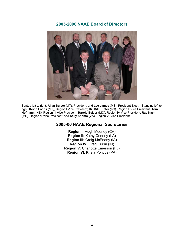# **2005-2006 NAAE Board of Directors**



Seated left to right: **Allan Sulser** (UT), President; and **Lee James** (MS), President Elect. Standing left to right: **Kevin Fochs** (MT), Region I Vice President; **Dr. Bill Hunter** (KS), Region II Vice President; **Tom Hofmann** (NE), Region III Vice President; **Harold Eckler** (MO), Region IV Vice President; **Ray Nash** (MS), Region V Vice President; and **Sally Shomo** (VA), Region VI Vice President.

# **2005-06 NAAE Regional Secretaries**

**Region I:** Hugh Mooney (CA) **Region II:** Kathy Conerly (LA) **Region III:** Craig McEnany (IA) **Region IV:** Greg Curlin (IN) **Region V:** Charlotte Emerson (FL) **Region VI:** Krista Pontius (PA)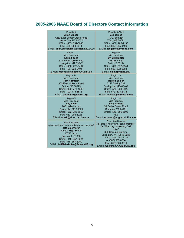# **2005-2006 NAAE Board of Directors Contact Information**

| President                                                                                                                                                                                                                                          | <b>President-Elect</b>                                                                                                                                                                                                                                                    |
|----------------------------------------------------------------------------------------------------------------------------------------------------------------------------------------------------------------------------------------------------|---------------------------------------------------------------------------------------------------------------------------------------------------------------------------------------------------------------------------------------------------------------------------|
| <b>Allan Sulser</b>                                                                                                                                                                                                                                | <b>Lee James</b>                                                                                                                                                                                                                                                          |
| 4233 East Center Creek Road                                                                                                                                                                                                                        | P. O. Box 284                                                                                                                                                                                                                                                             |
| Heber City, UT 84032                                                                                                                                                                                                                               | Weir, MS 39772                                                                                                                                                                                                                                                            |
| Office: (435) 654-0640                                                                                                                                                                                                                             | Office: (662) 285-4155                                                                                                                                                                                                                                                    |
| Fax: (435) 654-3011                                                                                                                                                                                                                                | Fax: (662) 285-4199                                                                                                                                                                                                                                                       |
| E-Mail: allan.sulser@m.wasatch.k12.ut.us                                                                                                                                                                                                           | E-Mail: leejjames@yahoo.com                                                                                                                                                                                                                                               |
| Region I                                                                                                                                                                                                                                           | <b>Region II</b>                                                                                                                                                                                                                                                          |
| <b>Vice President</b>                                                                                                                                                                                                                              | <b>Vice President</b>                                                                                                                                                                                                                                                     |
| <b>Kevin Fochs</b>                                                                                                                                                                                                                                 | Dr. Bill Hunter                                                                                                                                                                                                                                                           |
| 514 North Yellowstone                                                                                                                                                                                                                              | 348 NE SR 61                                                                                                                                                                                                                                                              |
| Livingston, MT 59047                                                                                                                                                                                                                               | Pratt, KS 67124                                                                                                                                                                                                                                                           |
| Office: (406) 222-9404                                                                                                                                                                                                                             | Office: (620) 672-5641                                                                                                                                                                                                                                                    |
| Fax: (406) 222-9404                                                                                                                                                                                                                                | Fax: (620) 672-5288                                                                                                                                                                                                                                                       |
| E-Mail: kfochs@livingston.k12.mt.us                                                                                                                                                                                                                | E-Mail: billh@prattcc.edu                                                                                                                                                                                                                                                 |
| <b>Region III</b>                                                                                                                                                                                                                                  | <b>Region IV</b>                                                                                                                                                                                                                                                          |
| <b>Vice President</b>                                                                                                                                                                                                                              | <b>Vice President</b>                                                                                                                                                                                                                                                     |
| <b>Tom Hofmann</b>                                                                                                                                                                                                                                 | <b>Harold Eckler</b>                                                                                                                                                                                                                                                      |
| 903 East Hickory Street                                                                                                                                                                                                                            | 5148 Shelby 234                                                                                                                                                                                                                                                           |
| Sutton, NE 68979                                                                                                                                                                                                                                   | Shelbyville, MO 63469                                                                                                                                                                                                                                                     |
| Office: (402) 773-4303                                                                                                                                                                                                                             | Office: (573) 633-2525                                                                                                                                                                                                                                                    |
| Fax: (402) 773-5578                                                                                                                                                                                                                                | Fax: (573) 633-2138                                                                                                                                                                                                                                                       |
| E-Mail: thofmann@spsne.org                                                                                                                                                                                                                         | E-Mail: eckler@marktwain.net                                                                                                                                                                                                                                              |
| <b>Region V</b>                                                                                                                                                                                                                                    | <b>Region VI</b>                                                                                                                                                                                                                                                          |
| <b>Vice President</b>                                                                                                                                                                                                                              | <b>Vice President</b>                                                                                                                                                                                                                                                     |
| <b>Ray Nash</b>                                                                                                                                                                                                                                    | <b>Sally Shomo</b>                                                                                                                                                                                                                                                        |
| 208 Hollie Haven                                                                                                                                                                                                                                   | 58 Cedar Green Road                                                                                                                                                                                                                                                       |
| Booneville, MS 38829                                                                                                                                                                                                                               | Staunton, VA 24401                                                                                                                                                                                                                                                        |
| Office: (662) 286-5063                                                                                                                                                                                                                             | Office: (540) 886-5806                                                                                                                                                                                                                                                    |
| Fax: (662) 286-3023                                                                                                                                                                                                                                | Fax:                                                                                                                                                                                                                                                                      |
| E-Mail: rnash@alcorn.k12.ms.us                                                                                                                                                                                                                     | E-mail: sshomo@augusta.k12.va.us                                                                                                                                                                                                                                          |
| <b>Past President</b><br>(past president is not a voting board member)<br><b>Jeff Maierhofer</b><br>Seneca High School<br>307 E. Scott<br>Seneca, IL 61360<br>Office: (815) 357-5024<br>Fax: (815) 357-5050<br>E-Mail: JeffMaierhofer@SenecaHS.org | <b>Executive Director</b><br>(ex-officio, non-voting, board member)<br>Dr. Wm. Jay Jackman, CAE<br><b>NAAF</b><br>300 Garrigus Building<br>Lexington, KY 40546-0215<br>Office: (859) 257-2224<br>or (800) 509-0204<br>Fax: (859) 323-3919<br>Email: JJackman.NAAE@uky.edu |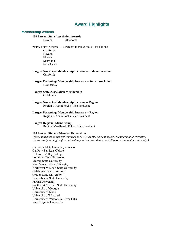# **Award Highlights**

#### **Membership Awards**

#### **100 Percent State Association Awards**

Nevada Oklahoma

- **"10% Plus" Awards** 10 Percent Increase State Associations California Nevada Florida Maryland New Jersey
- **Largest Numerical Membership Increase -- State Association**  California
- **Largest Percentage Membership Increase -- State Association**  New Jersey
- **Largest State Association Membership**  Oklahoma
- **Largest Numerical Membership Increase -- Region**  Region I- Kevin Fochs, Vice President
- **Largest Percentage Membership Increase -- Region**  Region I- Kevin Fochs, Vice President
- **Largest Regional Membership**  Region IV—Harold Eckler, Vice President

#### **100 Percent Student Member Universities**

*(These universities are self-reported to NAAE as 100 percent student membership universities. We sincerely apologize if we missed any universities that have 100 percent student membership.)*

California State University- Fresno Cal Poly-San Luis Obispo Delaware Valley College Louisiana Tech University Murray State University New Mexico State University Northwest Missouri State University Oklahoma State University Oregon State University Pennsylvania State University Purdue University Southwest Missouri State University University of Georgia University of Idaho University of Missouri University of Wisconsin- River Falls West Virginia University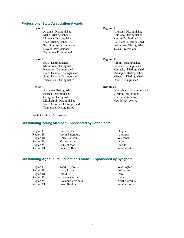#### **Professional State Association Awards**

Arizona- Distinguished Arkansas-Distinguished Arkansas-Distinguished Colorado-Distinguished Colorado-Montana- Distinguished Utah- Distinguished Louisiana- Distinguished Washington- Distinguished Oklahoma- Distinguished Nevada- Professional Wyoming- Professional

#### **Region III Region IV**

Iowa- Distinguished Illinois- Distinguished Illinois- Distinguished Indiana- Distinguished Minnesota- Distinguished<br>Nebraska- Distinguished North Dakota- Distinguished<br>
South Dakota- Distinguished<br>
Michigan- Distinguished<br>
Missouri- Distinguished South Dakota- Distinguished Missouri- Distinguished Missouri- Distinguished Missouri- Distinguished Missouri- Distinguished Missouri- Distinguished Missouri-  $\frac{1}{2}$ Wisconsin- Distinguished

**Region V**<br>Alabama- Distinguished Pe Florida- Distinguished Virginia- Professional Georgia- Distinguished Connecticut- Active Mississippi- Distinguished New Jersey- Active North Carolina- Distinguished Tennessee- Distinguished

### **Region I Region II**

Colorado-Distinguished<br>Kansas-Professional

Kentucky- Distinguished

Pennsylvania- Distinguished

South Carolina- Professional

#### **Outstanding Young Member – Sponsored by John Deere**

| Region I   | Danell Blair    | Oregon        |
|------------|-----------------|---------------|
| Region II  | Kevin Barenburg | Arkansas      |
| Region III | Grace Roberts   | Wisconsin     |
| Region IV  | Marie Carity    | Ohio          |
| Region V   | Erin Johnson    | Florida       |
| Region VI  | James C. Beatty | West Virginia |

### **Outstanding Agricultural Education Teacher – Sponsored by Syngenta**

| Todd Rightmire          | Washington     |
|-------------------------|----------------|
| Larry Liston            | Oklahoma       |
| David Hill              | Iowa           |
| Gregory Curlin          | Indiana        |
| <b>Raymond Caviness</b> | North Carolina |
| Jason Hughes            | West Virginia  |
|                         |                |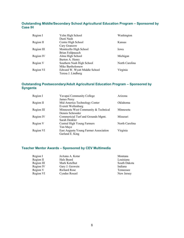## **Outstanding Middle/Secondary School Agricultural Education Program – Sponsored by Case IH**

| Region I   | Yelm High School              | Washington     |
|------------|-------------------------------|----------------|
|            | Dusti Nash                    |                |
| Region II  | Centre High School            | Kansas         |
|            | Cary Granzow                  |                |
| Region III | Monticello High School        | Iowa           |
|            | Brian Feldpausch              |                |
| Region IV  | Alma High School              | Michigan       |
|            | Burton A. Henry               |                |
| Region V   | Southern Nash High School     | North Carolina |
|            | Mike Bartholomew              |                |
| Region VI  | Edward W. Wyatt Middle School | Virginia       |
|            | Teresa J. Lindberg            |                |

# **Outstanding Postsecondary/Adult Agricultural Education Program – Sponsored by Syngenta**

| Region I   | Yavapai Community College             | Arizona        |
|------------|---------------------------------------|----------------|
|            | James Perey                           |                |
| Region II  | Mid America Technology Center         | Oklahoma       |
|            | Everett Wollenburg                    |                |
| Region III | Minnesota West Community & Technical  | Minnesota      |
|            | Dennis Schroeder                      |                |
| Region IV  | Commericial Turf and Grounds Mgmt.    | Missouri       |
|            | Sarah Denkler                         |                |
| Region V   | Central High Young Farmers            | North Carolina |
|            | Tim Maye                              |                |
| Region VI  | East Augusta Young Farmer Association | Virginia       |
|            | Garland E. King                       |                |

# **Teacher Mentor Awards – Sponsored by CEV Multimedia**

| Region I   | JoAnna A. Kotar     | Montana      |
|------------|---------------------|--------------|
| Region II  | Hals Beard          | Louisiana    |
| Region III | Mark Ketelhut       | South Dakota |
| Region IV  | Gary J. Geswein     | Indiana      |
| Region V   | <b>Richard Rose</b> | Tennessee    |
| Region VI  | Cyndee Roszel       | New Jersey   |
|            |                     |              |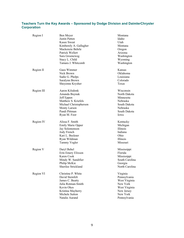## **Teachers Turn the Key Awards – Sponsored by Dodge Division and DaimlerChrysler Corporation**

| Region I   | Ben Meyer<br>Justin Patten<br>Kasee Sweat<br>Kimberely A. Gallagher<br>Mackenzie Behrle<br>Patrick Wellert<br>Sara Groeneweg<br>Stacy L. Child<br>Tamara J. Whitcomb | Montana<br>Idaho<br>Utah<br>Montana<br>Oregon<br>Arizona<br>Washington<br>Wyoming<br>Washington                  |
|------------|----------------------------------------------------------------------------------------------------------------------------------------------------------------------|------------------------------------------------------------------------------------------------------------------|
| Region II  | Gaea Wimmer<br>Nick Brown<br>Sadie G. Phelps<br>Saralynn Brown<br>Sheyenne Krysher                                                                                   | Kansas<br>Oklahoma<br>Louisiana<br>Colorado<br>Texas                                                             |
| Region III | Aaron Kilsdonk<br>Amanda Buynak<br>Jeff Eppen<br>Matthew S. Kriefels<br>Michael Christopherson<br>Monty Larson<br>Pandi Pittman<br>Ryan M. Foor                      | Wisconsin<br>North Dakota<br>Minnesota<br>Nebraska<br>South Dakota<br>Nebraska<br>South Dakota<br>lowa           |
| Region IV  | Alissa F. Smith<br><b>Emily Marie Opper</b><br>Jay Solomonson<br>Jody French<br>Kari L. Beckner<br>Ryan Wildman<br>Tammy Vogler                                      | Kentucky<br>Michigan<br>Illinois<br>Indiana<br>Ohio<br>Illinois<br>Missouri                                      |
| Region V   | Daryl Behel<br>Erin Emery Elixson<br>Karen Cook<br>Mindy W. Sandifier<br>Philip McKie<br>Sherilee Strickland                                                         | Mississippi<br>Florida<br>Mississippi<br>South Carolina<br>Georgia<br>North Carolina                             |
| Region VI  | Christine P. White<br>David Steinfelt<br>James C. Beatty<br>Julia Rotman-Smith<br>Kevin Okes<br>Kristina Mayberry<br>Michele Sutton<br>Natalie Aurand                | Virginia<br>Pennsylvania<br>West Virginia<br>New York<br>West Virginia<br>New Jersey<br>New York<br>Pennsylvania |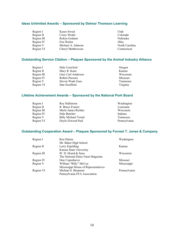# **Ideas Unlimited Awards – Sponsored by Delmar Thomson Learning**

| Region I   | Kasee Sweat        | Utah           |
|------------|--------------------|----------------|
| Region II  | Corey Wedel        | Colorado       |
| Region III | Robyn Graham       | Nebraska       |
| Region IV  | Eric Richer        | Ohio           |
| Region V   | Michael A. Johnson | North Carolina |
| Region VI  | Cheryl Matthewson  | Connecticut    |
|            |                    |                |

## **Outstanding Service Citation – Plaques Sponsored by the Animal Industry Alliance**

| Region I   | Dale Crawford      | Oregon    |
|------------|--------------------|-----------|
| Region II  | Mary R. Kane       | Kansas    |
| Region III | Gary Carl Anderson | Wisconsin |
| Region IV  | Robert Parsons     | Missouri  |
| Region V   | Steven Wade Gass   | Tennessee |
| Region VI  | Dan Swafford       | Virginia  |

# **Lifetime Achievement Awards – Sponsored by the National Pork Board**

| Region I   | Roy Hallstrom               | Washington   |
|------------|-----------------------------|--------------|
| Region II  | R. Bruce Frazier            | Louisiana    |
| Region III | Merle James Richter         | Wisconsin    |
| Region IV  | Dale Butcher                | Indiana      |
| Region V   | <b>Billy Michael Vestal</b> | Tennessee    |
| Region VI  | Doyle Elwood Paul           | Pennsylvania |

# **Outstanding Cooperation Award – Plaques Sponsored by Forrest T. Jones & Company**

| Region I   | <b>Ron Dinius</b>                    | Washington         |
|------------|--------------------------------------|--------------------|
|            | Mt. Baker High School                |                    |
| Region II  | Larry Erpelding                      | Kansas             |
|            | Kansas State University              |                    |
| Region III | W. D. Hoard & Sons                   | Wisconsin          |
|            | The National Dairy Farm Magazine     |                    |
| Region IV  | Don Copenhaver                       | Missouri           |
| Region V   | William "Billy" McCoy                | <b>Mississippi</b> |
|            | Mississippi House of Representatives |                    |
| Region VI  | Michael S. Brammer                   | Pennsylvania       |
|            | Pennsylvania FFA Association         |                    |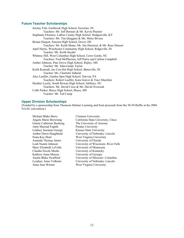#### **Future Teacher Scholarships**

Jeremy Fish, Eastbrook High School, Sweetser, IN Teachers: Mr. Jeff Bernaix & Mr. Kevin Plumier Stephanie Florence, LaRue County High School, Hodgenville, KY Teachers: Mr. Tim Quiggins & Ms. Misty Bivens Briana Hargett, Smyrna High School, Dover, DE Teachers: Mr. Keith Shane, Mr. Jim Harrison, & Mr. Russ Stinson April Harris, Winchester Community High School, Ridgeville, IN Teacher: Mr. Keith Snyder Whitney Hill, West Columbus High School, Cerro Gordo, NC Teachers: Fred McPherson, Jeff Parris and Carlton Campbell Amber Johnson, Pine Grove High School, Ripley, MS Teacher: Mr. John-Grady Taylor Keith Konradi, Jac-Cen-Del High School, Batesville, IN Teacher: Ms. Charlotte Salkeld Alex Lauffer, Garden Spot High School, Narvon, PA Teachers: Robert Lauffer, Kara Graver & Traci Marchini Heather Lyerly, South Rowan High School, Salibury, NC Teachers: Mr. David Cress & Mr. David Overcash Colbi Parker, Bruce High School, Bruce, MS Teacher: Mr. Ted Camp

#### **Upper Division Scholarships**

(Funded by a sponsorship from Thomson Delmar Learning and from proceeds from the 50-50 Raffle at the 2004 NAAE convention.)

Michael Blake Berry Clemson University Amir Masoud Faghih Purdue University Lindsey Suzanne George Kansas State University Nona Kay Hunt West Virginia University Amanda Thomas James University of Florida Mary Elizabeth LaValla University of Minnesota Claudia Nicole Meeks University of Kentucky Kathryn Anne Murray University of Georgia

Angela Marie Browning California State University, Chico Ginnie Catherine Bushong The University of Arizona Amber Dawn Haughland University of Nebraska- Lincoln Leah Naomi Johnson University of Wisconsin- River Falls Austin Blake Swafford University of Missouri- Columbia Lyndsey Anne Volkmer University of Nebraska- Lincoln Anna Jean Warner West Virginia University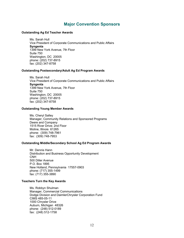# **Major Convention Sponsors**

#### **Outstanding Ag Ed Teacher Awards**

Ms. Sarah Hull Vice President of Corporate Communications and Public Affairs **Syngenta**  1399 New York Avenue, 7th Floor Suite 750 Washington, DC 20005 phone: (202) 737-8915 fax: (202) 347-8758

#### **Outstanding Postsecondary/Adult Ag Ed Program Awards**

Ms. Sarah Hull Vice President of Corporate Communications and Public Affairs **Syngenta**  1399 New York Avenue, 7th Floor Suite 750 Washington, DC 20005 phone: (202) 737-8915 fax: (202) 347-8758

#### **Outstanding Young Member Awards**

Ms. Cheryl Salley Manager, Community Relations and Sponsored Programs Deere and Company 1515 River Drive; 2nd Floor Moline, Illinois 61265 phone: (309) 748-7961 fax: (309) 748-7953

#### **Outstanding Middle/Secondary School Ag Ed Program Awards**

Mr. Dennis Hann Distribution and Business Opportunity Development **CNH** 500 Diller Avenue P.O. Box 1895 New Holland, Pennsylvania 17557-0903 phone: (717) 355-1499 fax: (717) 355-3890

#### **Teachers Turn the Key Awards**

Ms. Robbyn Shulman Manager, Commercial Communications Dodge Division and DaimlerChrysler Corporation Fund CIMS 485-05-11 1000 Chrysler Drive Auburn, Michigan 48326 phone: (248) 512-0189 fax: (248) 512-1758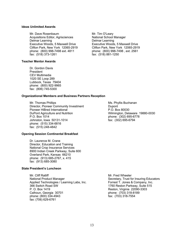#### **Ideas Unlimited Awards**

Mr. Dave Rosenbaum Mr. Tim O'Leary Acquisitions Editor, Agrisciences National School Manager Delmar Learning Delmar Learning Executive Woods, 5 Maxwell Drive Executive Woods, 5 Maxwell Drive Clifton Park, New York 12065-2919 Clifton Park, New York 12065-2919 phone: (800) 998-7498 ext. 4811 phone: (800) 998-7498, ext. 2561 fax: (518) 881-1250

fax: (518) 881-1250

#### **Teacher Mentor Awards**

Dr. Gordon Davis President CEV Multimedia 1020 SE Loop 289 Lubbock, Texas 79404 phone: (800) 922-9965 fax: (806) 745-5300

#### **Organizational Members and Business Partners Reception**

Mr. Thomas Phillips **Mr. Thomas Phillips** Ms. Phyllis Buchanan Director, Pioneer Community Investment **Dupont** Pioneer HiBred International P.O. Box 80030 DuPont Agriculture and Nutrition Wilmington, Delaware 19880-0030 P.O. Box 1014 phone: (302) 695-6778 Johnston, Iowa 50131-1014 fax: (302) 695-6794 phone: (515) 334-6816 fax: (515) 248-4842

#### **Opening Session Continental Breakfast**

Dr. Laurence M. Crane Director, Education and Training National Crop Insurance Services 8900 Indian Creek Parkway, Suite 600 Overland Park, Kansas 66210 phone: (913) 685-2767, x. 415 fax: (913) 685-3080

### **State President's Luncheon**

Mr. Cliff Ratliff Mr. Fred Wheeler National Product Manager National Product Manager Secretary, Trust for Insuring Educators Applied Technologies / Learning Labs, Inc. Forrest T. Jones & Company, Inc. 66 Switch Road SW 6515 P. O. Box 1419 Reston, Virginia 22090-3303 Calhoun, Georgia 30701 **blue built being the Callysian Calloun, Georgia 30701 phone: (703) 318-8189** phone: (800) 334-4943 fax: (703) 318-7554 fax: (706) 629-6761

1760 Reston Parkway, Suite 515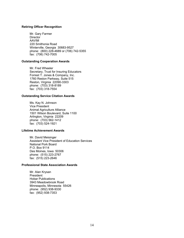#### **Retiring Officer Recognition**

Mr. Gary Farmer **Director** AAVIM 220 Smithonia Road Winterville, Georgia 30683-9527 phone: (800) 228-4689 or (706) 742-5355 fax: (706) 742-7005

### **Outstanding Cooperation Awards**

Mr. Fred Wheeler Secretary, Trust for Insuring Educators Forrest T. Jones & Company, Inc. 1760 Reston Parkway, Suite 515 Reston, Virginia 22090-3303 phone: (703) 318-8189 fax: (703) 318-7554

#### **Outstanding Service Citation Awards**

Ms. Kay N. Johnson Vice President Animal Agriculture Alliance 1501 Wilson Boulevard, Suite 1100 Arlington, Virginia 22209 phone: (703) 562-1412 fax: (703) 524-1921

### **Lifetime Achievement Awards**

Mr. David Meisinger Assistant Vice President of Education Services National Pork Board P.O. Box 9114 Des Moines, Iowa 50306 phone: (515) 223-2767 fax: (515) 223-2646

#### **Professional State Association Awards**

Mr. Alan Krysan President Hobar Publications 3943 Meadowbrook Road Minneapolis, Minnesota 55426 phone: (952) 938-9330 fax: (952) 938-7353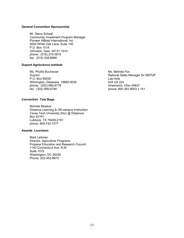#### **General Convention Sponsorship**

Mr. Steve Schaaf Community Investment Program Manager Pioneer HiBred International, Inc. 9550 White Oak Lane, Suite 100 P.O. Box 1014 Johnston, Iowa 50131-1014 phone: (515) 270-3915 fax: (515) 334-6886

#### **Dupont Agriscience Institute**

Ms. Phyllis Buchanan Ms. Belinda Fox<br>
Dupont Ms. Belinda Fox<br>
National Sales M P.O. Box 80030 Lab-Aids Wilmington, Delaware 19880-0030<br>
phone: (302) 695-6778 634 US 224<br>
Greenwich, Ohio 44837 phone: (302) 695-6778 fax: (302) 695-6794 phone: 800-381-8003 x 141

#### **Convention Tote Bags**

Michele Moskos Distance Learning & Off-campus Instruction Texas Tech University (Doc @ Distance) Box 42191 Lubbock, TX 79409-2191 phone: 806-742-7277

#### **Awards Luncheon**

Mark Leitman Director, Agriculture Programs Propane Education and Research Council 1140 Connecticut Ave. N.W. Suite 1075 Washington, DC 20036 Phone: 202-452-8975

National Sales Manager for SEPUP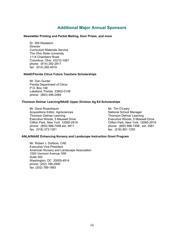# **Additional Major Annual Sponsors**

#### **Newsletter Printing and Partial Mailing, Door Prizes, and more**

Dr. Will Waidelich **Director** Curriculum Materials Service The Ohio State University 1114 Chambers Road Columbus, Ohio 43210-1067 phone: (614) 292-2817 fax: (614) 292-4919

#### **NAAE/Florida Citrus Future Teachers Scholarships**

Mr. Dan Gunter Florida Department of Citrus P.O. Box 148 Lakeland, Florida 33802-0148 phone: (863) 499-2469

#### **Thomson Delmar Learning/NAAE Upper Division Ag Ed Scholarships**

Mr. Dave Rosenbaum **Mr. Tim O'Leary** Acquisitions Editor, Agrisciences National School Manager Thomson Delmar Learning<br>
Executive Woods. 5 Maxwell Drive<br>
Executive Woods. 5 Maxwell Drive<br>
Thomson Delmar Learning Clifton Park, New York 12065-2919 phone: (800) 998-7498 ext. 4811 phone: (800) 998-7498 , ext. 2561 fax: (518) 373-1261 fax: (518) 881-1250

Executive Woods, 5 Maxwell Drive<br>Clifton Park, New York 12065-2919

#### **ANLA/NAAE Enhancing Nursery and Landscape Instruction Grant Program**

Mr. Robert J. Dolibois, CAE Executive Vice President American Nursery and Landscape Association 1000 Vermont Avenue, NW Suite 300 Washington, DC 20005-4914 phone: (202) 789-2900 fax: (202) 789-1893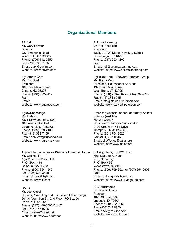# **Organizational Members**

AAVIM Mr. Gary Farmer **Director** 220 Smithonia Road Winterville, GA 30683 Phone: (706) 742-5355 Fax: (706) 742-7005 Email: gary@aavim.com Website: www.aavim.com

AgCareers.Com Mr. Eric Spell President 102 East Main Street Clinton, NC 28328 Phone: (910) 592-9417 Fax: Email: Website: www.agcareers.com

AgrowKnowledge Ms. Debi Orr 6301 Kirkwood Blvd. SW, 107 Washington Hall Cedar Rapids, IA 52406 Phone: (319) 398-7108 Fax: (319) 398-7109 Email: debi.orr@kirkwood.edu Website: www.agroknow.org

Applied Technologies (A Division of Learning Labs) Mr. Cliff Ratliff Agri-Sciences Specialist P. O. Box 1419 Calhoun, GA 30703 Phone: (800) 334-4943 Fax: (706) 629-3498 Email: cliff.ratliff@lli.com Website: www.lli.com

#### CAERT Mr. Joe Webel

Director, Marketing and Instructional Technologie 201 N. Vermilion St., 2nd Floor, PO Box 50 Danville, IL 61832 Phone: (217) 446-0500 Ext. 22 Fax: (217) 446-9706 Email: jwebel@caert.net Website: http://www.caert.net

Actimax Learning Dr. Neil Knobloch President #321, 907 W. Marketview Dr., Suite 1 Champaign, IL 61822 Phone: (217) 903-4200 Fax: Email: neil@actimaxlearning.com Website: http://www.actimaxlearning.com

AgEdNet.Com -- Stewart-Peterson Group Ms. Kathy Muth Director of Educational Services 137 South Main Street West Bend, WI 53095 Phone: (800) 236-7862 or (414) 334-9779 Fax: (414) 334-6225 Email: info@stewart-peterson.com Website: www.stewart-peterson.com

American Association for Laboratory Animal Science (AALAS) Ms. Jill Worley Community Services Coordinator 9190 Crestwyn Hills Drive Memphis, TN 38125-8538 Phone: (901) 754-8620 Fax: (901) 753-0046 Email: Jill.Worley@aalas.org Website: http:/www.aalas.org

Bullying Hurts, LRNCO, LLC Mrs. Darlene R. Nash V.P., Secretary P. O. Box 492 Woodstown, NJ 8098 Phone: (856) 769-3621 or (307) 254-0603 Fax: Email: bullyinghurts@aol.com Website: http://www.bullyinghurts.com

CEV Multimedia Dr. Gordon Davis President 1020 SE Loop 289 Lubbock, TX 79404 Phone: (800) 922-9965 Fax: (806) 745-5300 Email: cev@cev-inc.com Website: www.cev-inc.com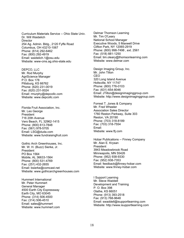Curriculum Materials Service -- Ohio State Univ. Dr. Will Waidelich **Director** 254 Ag. Admin. Bldg., 2120 Fyffe Road Columbus, OH 43210-1067 Phone: (614) 292-6462 Fax: (800) 292-4919 Email: waidelich.1@osu.edu Website: www-cms.ag.ohio-state.edu

DEPCO, LLC Mr. Rod Murphy AgriScience Manager P.O. Box 178 Pittsburg, KS 66762 Phone: (620) 231-0019 Fax: (620) 231-0024 Email: rmurphy@depcollc.com Website: www.depcollc.com

Florida Fruit Association, Inc. Mr. Leo George President 716 20th Avenue Vero Beach, FL 32962-1415 Phone: (800) 613-7848 Fax: (561) 978-5705 Email: LSG@duda.com Website: www.fundraisingfruit.com

Gothic Arch Greenhouses, Inc. Mr. W. H. (Buzz) Sierke, Jr. President PO Box 1564 Mobile, AL 36633-1564 Phone: (800) 531-4769 Fax: (251) 432-2655 Email: bsierke@comcast.net Website: www.gothicarchgreenhouses.com

Hummert International Mr. Peter Hummert General Manager 4500 Earth City Expressway Earth City, MO 63045 Phone: (314) 506-4500 Fax: (314) 506-4510 Email: sales@hummert Website: www.hummert.com Delmar Thomson Learning Mr. Tim O'Leary National School Manager Executive Woods, 5 Maxwell Drive Clifton Park, NY 12065-2919 Phone: (800) 998-7498 , ext. 2561 Fax: (518) 881-1250 Email: tim.oleary@thomsonlearning.com Website: www.delmar.com

Design Imaging Group, Inc. Mr. John Tilton CEO 320 Long Island Avenue Holtsville, NY 11747 Phone: (800) 776-0103 Fax: (631) 654-8046 Email: JTilton@designimaginggroup.com Website: http://www.designimaginggroup.com

Forrest T. Jones & Company Mr. Fred Wheeler Association Sales Director 1760 Reston Parkway, Suite 303 Reston, VA 20190 Phone: (703) 318-8189 Fax: (703) 318-7554 Email: Website: www.ftj.com

Hobar Publications -- Finney Company Mr. Alan E. Krysan President 3943 Meadowbrook Road Minneapolis, MN 55426 Phone: (952) 938-9330 Fax: (952) 938-7353 Email: feedback@finney-hobar.com Website: www.finney-hobar.com

I Support Learning Mr. Steve Waddell Development and Training P. O. Box 398 Olathe, KS 66051 Phone: (913) 393-2518 Fax: (913) 768-9648 Email: swaddell@isupportlearning.com Website: http://www.isupportlearning.com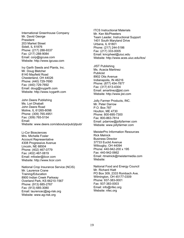International Greenhouse Company Mr. David George President 203 Market Street Sidell, IL 61876 Phone: (217) 288-9337 Fax: (217) 288-9084 Email: corp@igcusa.com Website: http://www.igcusa.com

Ivy Garth Seeds and Plants, Inc. Mr. Doug Bletcher 8140 Mayfield Road Chesterland, OH 44026 Phone: (440) 729-7690 Fax: (440) 729-7692 Email: doug@ivygarth.com Website: http://www.ivygarth.com

John Deere Publishing Ms. Lori Dhabalt John Deere Road Moline, IL 61265-8098 Phone: (309) 765-4951 Fax: (309) 765-5154 Email: Website: www.deere.com/aboutus/pub/jdpub/

Li-Cor Biosciences Mrs. Michelle Fosler Account Representative 4308 Progressive Avenue Lincoln, NE 68504 Phone: (402) 467-0779 Fax: (402) 467-0819 Email: mfosler@licor.com Website: http://www.licor.com

National Crop Insurance Service (NCIS) Mr. Laurence Crane Training/Education 8900 Indian Creek Parkway Overland Park, KS 66210-1567 Phone: (913) 685-2767 Fax: (913) 685-3080 Email: laurencec@ag-risk.org Website: www.ag-risk.org

ITCS Instructional Materials Mr. Ken McPheeters Team Leader, Instructional Support 1401 South Maryland Drive Urbana, IL 61801 Phone: (217) 244-5186 Fax: (217) 333-0005 Email: kmcpheet@uiuc.edu Website: http://www.aces.uiuc.edu/itcs/

JIST Publishing Ms. Acacia Martinez Publicist 8902 Otis Avenue Indianapolis, IN 46216 Phone: (877) 454-7877 Fax: (317) 613-4304 Email: amartinez@jist.com Website: http://www.jist.com

Jolly Farmer Products, INC. Mr. Peter Darrow P.O. Box 787 Houlton, ME 4730 Phone: 800-695-7300 Fax: 800-863-7814 Email: pdarrow@jollyfarmer.com Website: www.jollyfarmer.com

MeisterPro Information Resources Rick Melnick Business Director 37733 Euclid Avenue Willougby, OH 44094 Phone: 440-942-200 x 195 Fax: 440-942-0662 Email: rtmelnick@meistermedia.com Website:

National Food and Energy Council Mr. Richard Hiatt PO Box 309, 2333 Rombach Ave. Wilmington, OH 45177-0309 Phone: 937-383-0001 Fax: 937-383-0003 Email: info@nfec.org Website: nfec.org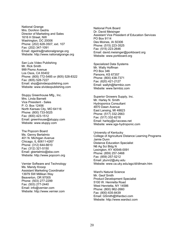National Grange Mrs. DoriAnn Gedris Director of Marketing and Sales 1616 H Street, NW Washington, DC 20006 Phone: (202) 628-3507, ext. 107 Fax: (202) 347-1091 Email: dgedris@nationalgrange.org Website: http://www.nationalgrange.org

San Luis Video Publishing Mr. Rick Smith 999 Pismo Avenue Los Osos, CA 93402 Phone: (805) 772-5485 or (805) 528-8322 Fax: (805) 528-7227 Email: slvp@slvideopublishing.com Website: www.slvideopublishing.com

Stuppy Greenhouse Mfg., Inc. Mrs. Linda Barnett Vice President - Sales P. O. Box 12456 North Kansas City, MO 64116 Phone: (800) 733-5025 Fax: (800) 423-1512 Email: greenhouse@stuppy.com Website: www.stuppy.com

The Popcorn Board Ms. Genny Bertalmio 401 N. Michigan Avenue Chicago, IL 60611-4267 Phone: (312) 644-6610 Fax: (312) 321-5150 Email: gbertalmio@sba.com Website: http://www.popcorn.org

Vernier Software and Technology Ms. Mandy Knoop Assistant Marketing Coordinator 13979 SW Millikan Way Beaverton, OR 97005 Phone: (503) 277-2299 Fax: (503) 277-2440 Email: info@vernier.com Website: http://www.vernier.com

National Pork Board Dr. David Meisinger Assistant Vice President of Education Services PO Box 9114 Des Moines, IA 50306 Phone: (515) 223-3525 Fax: (515) 223-2646 Email: david.meisinger@porkboard.org Website: www.porkboard.org

Specialized Data Systems Mr. Wally Hoffman PO Box 346 Parsons, KS 67357 Phone: (800) 438-7371 Fax: (620) 421-2127 Email: wallyh@farmbiz.com Website: www.farmbiz.com

Superior Growers Supply, Inc. Mr. Harley N. Smith Hydroponics Consultant 4870 Dawn Avenue East Lansing, MI 48823 Phone: (517) 332-2663 Fax: (517) 332-6218 Email: harley@a1access.net Website: www.sgs-hydroponic.com

University of Kentucky College of Agriculture Distance Learning Programs Jamie Dunn Distance Education Specialist N6 Ag Sci Bldg N Lexington, KY 40546-0091 Phone: (859) 257-3468 Fax: (859) 257-5212 Email: jdunn2@uky.edu Website: www.ca.uky.edu/agc/dl/dlmain.htm

Ward's Natural Science Mr. Geof Smith Product Development Specialist 5100 W. Henrietta Road West Henrietta, NY 14586 Phone: (800) 962-2660 Fax: (800) 635-8439 Email: GSmith@Wardsci.com Website: http://www.wardsci.com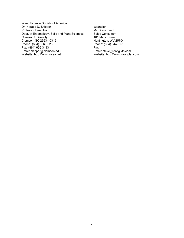- Weed Science Society of America Dr. Horace D. Skipper Professor Emeritus Dept. of Entomology, Soils and Plant Sciences Clemson University Clemson, SC 29634-0315 Phone: (864) 656-3525 Fax: (864) 656-3443 Email: skipper@clemson.edu Website: http://www.wssa.net
- **Wrangler** Mr. Steve Trent Sales Consultant 101 Maric Street Huntington, WV 25704 Phone: (304) 544-0070 Fax: Email: steve\_trent@vfc.com Website: http://www.wrangler.com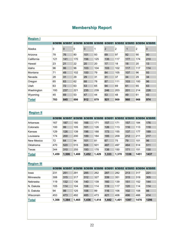| <b>Region I</b> |         |                |         |             |         |                |                |         |         |         |
|-----------------|---------|----------------|---------|-------------|---------|----------------|----------------|---------|---------|---------|
|                 | 6/30/96 | 6/30/97        | 6/30/98 | 6/30/99     | 6/30/00 | 6/30/01        | 6/30/02        | 6/30/03 | 6/30/04 | 6/30/05 |
| Alaska          | 0       | $\overline{0}$ | 0       | $\mathbf 0$ |         | $\overline{2}$ | $\overline{2}$ | 1       | 2       | 0       |
| Arizona         | 78      | 76             | 80      | 101         | 93      | 69             | 97             | 92      | 90      | 80      |
| California      | 121     | 141            | 170     | 156         | 125     | 135            | 117            | 177     | 174     | 210     |
| Hawaii          | 23      | 21             | 22      | 20          | 20      | 17             | 18             | 18      | 20      | 13      |
| Idaho           | 96      | 86             | 96      | 103         | 104     | 103            | 102            | 117     | 117     | 114     |
| Montana         | 71      | 49             | 102     | 100         | 79      | 84             | 105            | 107     | 96      | 93      |
| Nevada          | 28      | 31             | 29      | 29          | 31      | 31             | 37             | 34      | 29      | 34      |
| Oregon          | 65      | 63             | 62      | 68          | 78      | 87             | 111            | 103     | 100     | 96      |
| Utah            | 63      | 72             | 63      | 53          | 65      | 94             | 69             | 61      | 65      | 63      |
| Washington      | 193     | 237            | 221     | 235         | 239     | 246            | 203            | 201     | 214     | 226     |
| Wyoming         | 45      | 69             | 53      | 47          | 44      | 53             | 48             | 49      | 61      | 43      |
| <b>Total</b>    | 783     | 845            | 898     | 912         | 879     | 921            | 909            | 960     | 968     | 974     |

# **Membership Report**

# **Region II**

|              | 6/30/96 | 6/30/97 | 6/30/98 | 6/30/99 | 6/30/00 | 6/30/01 | 6/30/02 | 6/30/03 | 6/30/04 | 6/30/05 |
|--------------|---------|---------|---------|---------|---------|---------|---------|---------|---------|---------|
| Arkansas     | 167     | 187     | 180     | 166     | 171     | 157     | 171     | 157     | 184     | 176     |
| Colorado     | 100     | 99      | 105     | 101     | 126     | 126     | 113     | 116     | 113     | 118     |
| Kansas       | 129     | 126     | 139     | 196     | 188     | 173     | 155     | 137     | 177     | 189     |
| Louisiana    | 174     | 200     | 200     | 189     | 184     | 185     | 209     | 212     | 211     | 217     |
| New Mexico   | 72      | 64      | 94      | 101     | 81      | 67      | 75      | 79      | 101     | 96      |
| Oklahoma     | 470     | 520     | 515     | 506     | 501     | 487     | 497     | 464     | 514     | 511     |
| Texas        | 344     | 310     | 255     | 193     | 178     | 138     | 150     | 171     | 151     | 130     |
| <b>Total</b> | 1,459   | 1,506   | 1,488   | 1,452   | 1,429   | 1,333   | 1,370   | 1336    | 1451    | 1437    |

# **Region III**

|              | 6/30/96 | 6/30/97 | 6/30/98 | 6/30/99 | 6/30/00 | 6/30/01 | 6/30/02 | 6/30/03 | 6/30/04 | 6/30/05 |
|--------------|---------|---------|---------|---------|---------|---------|---------|---------|---------|---------|
| lowa         | 231     | 251     | 291     | 285     | 262     | 287     | 282     | 213     | 317     | 221     |
| Minnesota    | 306     | 315     | 317     | 312     | 327     | 339     | 351     | 315     | 319     | 305     |
| Nebraska     | 119     | 132     | 136     | 140     | 139     | 160     | 139     | 151     | 152     | 144     |
| N. Dakota    | 105     | 114     | 104     | 108     | 114     | 119     | 117     | 120     | 114     | 114     |
| S. Dakota    | 94      | 99      | 125     | 106     | 99      | 116     | 106     | 102     | 108     | 98      |
| Wisconsin    | 453     | 473     | 492     | 485     | 473     | 421     | 406     | 496     | 466     | 414     |
| <b>Total</b> | 1,308   | 1.384   | 1.465   | 1,436   | 1.414   | 1,442   | 1.401   | 1397    | 1476    | 1296    |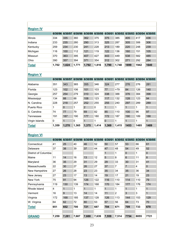| <b>Region IV</b> |         |         |         |         |         |         |         |         |                 |      |
|------------------|---------|---------|---------|---------|---------|---------|---------|---------|-----------------|------|
|                  | 6/30/96 | 6/30/97 | 6/30/98 | 6/30/99 | 6/30/00 | 6/30/01 | 6/30/02 | 6/30/03 | 6/30/04 6/30/05 |      |
| <b>Illinois</b>  | 334     | 335     | 360     | 362     | 375     | 375     | 385     | 405     | 417             | 436  |
| Indiana          | 233     | 235     | 280     | 290     | 313     | 325     | 287     | 305     | 306             | 306  |
| Kentucky         | 259     | 234     | 230     | 241     | 228     | 213     | 189     | 220     | 248             | 239  |
| Michigan         | 116     | 100     | 112     | 121     | 119     | 122     | 136     | 160     | 151             | 105  |
| Missouri         | 370     | 363     | 395     | 407     | 427     | 443     | 449     | 538     | 582             | 485  |
| Ohio             | 390     | 357     | 394     | 371     | 354     | 312     | 302     | 271     | 292             | 284  |
| <b>Total</b>     | 1,702   | 1.624   | 1,771   | 1,792   | 1,816   | 1,790   | 1,748   | 1899    | 1942            | 1640 |

# **Region V**

| 6/30/96 | 6/30/97        | 6/30/98 | 6/30/99        | 6/30/00  | 6/30/01  | 6/30/02 | 6/30/03 | 6/30/04 | 6/30/05 |
|---------|----------------|---------|----------------|----------|----------|---------|---------|---------|---------|
| 351     | 343            | 365     | 355            | 346      | 324      | 277     | 276     | 276     | 281     |
| 123     | 102            | 106     | 101            | 103      | 77       | >79     | 84      | 126     | 140     |
| 257     | 254            | 279     | 310            | 324      | 338      | 388     | 376     | 384     | 398     |
| 134     | 88             | 88      | 108            | 123      | 117      | 132     | 128     | 123     | 94      |
| 228     | 218            | 257     | 252            | 255      | 255      | 240     | 297     | 289     | 289     |
|         | $\overline{0}$ |         | $\overline{2}$ | $\Omega$ |          |         | 1       |         | 1       |
| 74      | 77             | 79      | 69             | 82       | 85       | 110     | 100     | 96      | 97      |
| 191     | 187            | 190     | 177            | 180      | 172      | 187     | 190     | 189     | 188     |
| 0       |                | 0       |                |          | $\Omega$ |         | 1       | 1       | 1       |
| 1,359   | 1,270          | 1,365   | 1,375          | 1,414    | 1,369    | 1,415   | 1453    | 1485    | 1489    |
|         |                |         |                |          |          |         |         |         |         |

# **Region VI**

|                      | 6/30/96 | 6/30/97        | 6/30/98 | 6/30/99      | 6/30/00 | 6/30/01 | 6/30/02        | 6/30/03 | 6/30/04 | 6/30/05      |
|----------------------|---------|----------------|---------|--------------|---------|---------|----------------|---------|---------|--------------|
| Connecticut          | 41      | 25             | 40      | 46           | 52      | 50      | 57             | 53      | 66      | 61           |
| Delaware             | 37      | 38             | 39      | 37           | 44      | 47      | 48             | 54      | 49      | 52           |
| District of Columbia |         |                |         |              |         | 1       | 1              | 0       | 1       | 0            |
| Maine                | 11      | 14             | 16      | 13           | 12      | 5       | 8              | 6       | 11      | 8            |
| Maryland             | 36      | 35             | 29      | 31           | 29      | 29      | 33             | 30      | 31      | 41           |
| Massachusetts        | 22      | 30             | 27      | 26           | 27      | 37      | 7              | 7       | 4       | 0            |
| New Hampshire        | 27      | 26             | 28      | 23           | 23      | 35      | 34             | 35      | 36      | 34           |
| New Jersey           | 27      | 23             | 17      | 13           | 14      | 19      | 17             | 21      | 19      | 23           |
| New York             | 75      | 91             | 94      | 126          | 122     | 116     | 110            | 114     | 110     | 79           |
| Pennsylvania         | 119     | 130            | 139     | 174          | 168     | 170     | 184            | 177     | 176     | 174          |
| Rhode Island         | 4       | 1              |         | $\mathbf{1}$ | 1       | 1       | 1              | 1       | 1       | $\mathbf{1}$ |
| Vermont              | 16      | $\overline{9}$ | 13      | 14           | 14      | 11      | $\overline{2}$ | 3       | 3       | 1            |
| Virginia             | 172     | 168            | 185     | 137          | 128     | 126     | 113            | 144     | 153     | 129          |
| W. Virginia          | 64      | 62             | 72      | 80           | 53      | 57      | 56             | 64      | 73      | 70           |
| <b>Total</b>         | 651     | 652            | 700     | 721          | 687     | 704     | 671            | 709     | 733     | 670          |
|                      |         |                |         |              |         |         |                |         |         |              |
| <b>GRAND</b>         | 7,259   | 7,281          | 7,687   | 7,688        | 7,639   | 7,559   | 7,514          | 7754    | 8055    | 7721         |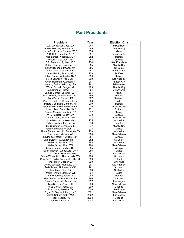# **Past Presidents**

| <b>President</b>                       | Year | <b>Election City</b> |
|----------------------------------------|------|----------------------|
| L.E. Cross; San Jose, CA               | 1948 | Milwaukee            |
| Parker Woodul; Portales, NM*           | 1949 | <b>Atlantic City</b> |
| Jess Smith; Lake Geneva, WI *          | 1950 | Miami                |
| A.C. Hale; Camden, AR *                | 1951 | Minneapolis          |
| Max Lampo; Neosho, MO*                 | 1952 | Boston               |
| Robert Wall; Luray, Va *               | 1953 | Chicago              |
| S.F. Peterson; Ayden, NC *             | 1954 | San Francisco        |
| Robert Howey; Sycamore, IL             | 1955 | <b>Atlantic City</b> |
| Robert Bishopp; Powell, WY             | 1956 | St. Louis            |
| James Wall; Waverly, NE *              | 1957 | Philadelphia         |
| Luther Hardin; Searcy, AR *            | 1958 | <b>Buffalo</b>       |
| Julian Carter; Wellsville, NY *        | 1959 | Chicago              |
| Floyd Johnson; York, SC *              | 1960 | Los Angeles          |
| James Hamilton; Audubon, IA            | 1961 | Kansas City          |
| Wenroy Smith; Saltsburg, PA            | 1962 | Milwaukee            |
| Walter Bomeli; Bangor, MI              | 1963 | <b>Atlantic City</b> |
| Sam Stenzel; Russell, KS               | 1964 | Minneapolis          |
| James Durkee; Laramie, WY              | 1965 | Miami                |
| Elvin Walker; Norman Park, GA *        | 1966 | Denver               |
| Tom Devin; Dumas, TX                   | 1967 | Cleveland            |
| Wm. G. Smith; E. Brunswick, NJ         | 1968 | Dallas               |
| Millard Gundlach; Montfort, WI         | 1969 | <b>Boston</b>        |
| Glen D. McDowell; Pikeville, KY        | 1970 | New Orleans          |
| Howard Teal; Boonville, NY *           | 1971 | Portland             |
| Francis Murphy; Madison, SD            | 1972 | Chicago              |
| W.R. Harrison; Leedy, OK               | 1973 | Atlanta              |
| Lurther Lalum; Kalispell, MT           | 1974 | New Orleans          |
| John Murray; Jackson MN                | 1975 | Anaheim              |
| Richard Weber; Larose, LA              | 1976 | Houston              |
| Jim Guilinger; Sycamore, IL            | 1977 | <b>Atlantic City</b> |
| John P. Mundt; Meridian, ID            | 1978 | Dallas               |
| Albert Timmerman, Jr.; Rockdale, TX    | 1979 | Anaheim              |
| Tom Jones; Marana, AZ                  | 1980 | New Orleans          |
| Layton G. Peters; New Ulm, MN          | 1981 | Atlanta              |
| Dale Butcher; W. Layfayette, IN        | 1982 | St. Louis            |
| Walter Schuh; Bow, WA                  | 1983 | Anaheim              |
| Walter Schuh; Bow, WA                  | 1984 | New Orleans          |
| Myron Sonne; Letcher, SD               | 1985 | Atlanta              |
| Ralph Thomas; Woodward, OK *           | 1986 | Dallas               |
| Caroll L. Shry; Frederick, MD          | 1987 | Las Vegas            |
| Duane W. Watkins; Thermopolis, WY      | 1988 | St. Louis            |
| Douglas B. Spike; Bloomfield Hills, MI | 1989 | Orlando              |
| Tom Parker; Casper, WY                 | 1990 | Cincinnati           |
| Dennis Jackson; Mankato, MN*           | 1991 | Los Angeles          |
| Dale Turner; Holdenville, OK           | 1992 | St. Louis            |
| Tom Klein; Elko, NV                    | 1993 | Nashville            |
| Merle Richter; Bloomer, WI             | 1994 | Dallas               |
| Tom Heffernan; Poteet, TX              | 1995 | Denver               |
| MeeCee Baker; Port Royal, PA           | 1996 | Cincinnati           |
| Duane Fisher; Mt. Auburn, IA           | 1997 | Las Vegas            |
| Tom Kremer; Anna, OH                   | 1998 | New Orleans          |
| Mike Cox; Allisonia, VA                | 1999 | Orlando              |
| Paul Jaure; Beeville, TX               | 2000 | San Diego            |
| Bryan D. Gause; Liberty, IN *          | 2001 | <b>New Orleans</b>   |
| Sarah Osborn Welty, MD                 | 2002 | Las Vegas            |
| Roger Teeple, NC                       | 2003 | Orlando              |
| Jeff Maierhofer, IL                    | 2004 | Las Vegas            |
|                                        |      |                      |